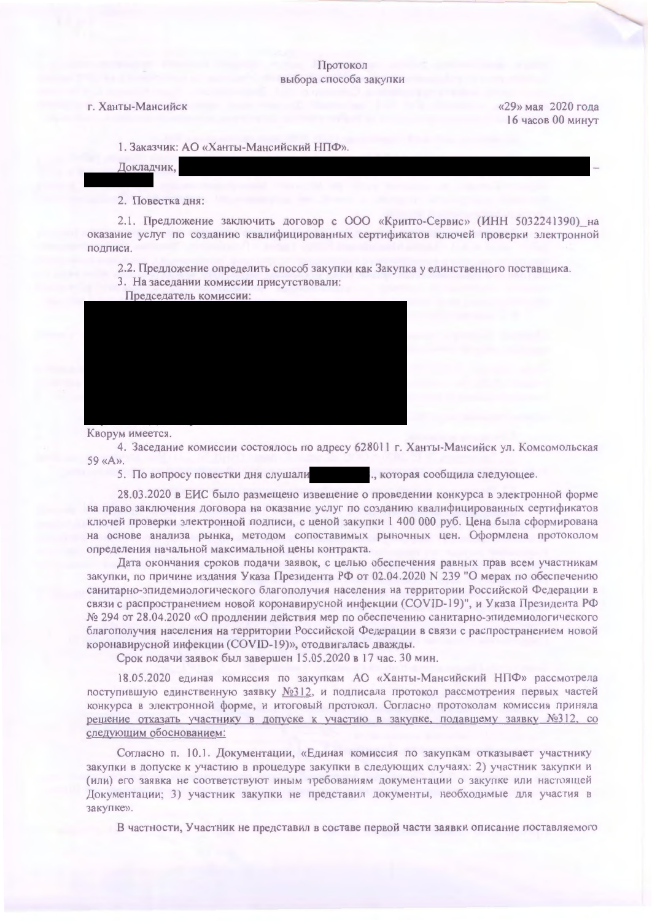## Протокол выбора способа закупки

## г. Ханты-Мансийск

 $\mu$ 29 Mag 2020 roma 16 часов 00 минут

1. Заказчик: АО «Ханты-Мансийский НПФ»

Локлалчик.

2. Повестка лня:

2.1. Предложение заключить договор с ООО «Крипто-Сервис» (ИНН 5032241390) на оказание услуг по созданию квалифицированных сертификатов ключей проверки электронной полписи.

2.2. Предложение определить способ закупки как Закупка у единственного поставшика

3. На заседании комиссии присутствовали:

Председатель комиссии:



Кворум имеется.

4. Заседание комиссии состоялось по адресу 628011 г. Ханты-Мансийск ул. Комсомольская 

"которая сообщила следующее. 5. По вопросу повестки дня слушали

28.03.2020 в ЕИС было размещено извещение о провелении конкурса в электронной форме на право заключения договора на оказание услуг по созданию квалифицированных сертификатов ключей проверки электронной подписи, с ценой закупки 1 400 000 руб. Цена была сформирована на основе анализа рынка, методом сопоставимых рыночных цен. Оформлена протоколом определения начальной максимальной цены контракта.

Дата окончания сроков подачи заявок, с целью обеспечения равных прав всем участникам закупки, по причине издания Указа Президента РФ от 02.04.2020 N 239 "О мерах по обеспечению санитарно-эпилемиологического благополучия населения на территории Российской Фелерации в связи с распространением новой коронавирусной инфекции (COVID-19)", и Указа Президента РФ № 294 от 28.04.2020 «О продлении действия мер по обеспечению санитарно-эпидемиологического благополучия населения на территории Российской Федерации в связи с распространением новой коронавирусной инфекции (COVID-19)», отодвигалась дважды.

Срок подачи заявок был завершен 15.05.2020 в 17 час. 30 мин.

18.05.2020 единая комиссия по закупкам АО «Ханты-Мансийский НПФ» рассмотрела поступившую единственную заявку №312, и подписала протокол рассмотрения первых частей конкурса в электронной форме, и итоговый протокол. Согласно протоколам комиссия приняла решение отказать участнику в допуске к участию в закупке, подавшему заявку №312, со следующим обоснованием:

Согласно п. 10.1. Документации, «Единая комиссия по закупкам отказывает участнику закупки в допуске к участию в процедуре закупки в следующих случаях: 2) участник закупки и (или) его заявка не соответствуют иным требованиям документации о закупке или настоящей Документации; 3) участник закупки не представил документы, необходимые для участия в закупке».

В частности, Участник не представил в составе первой части заявки описание поставляемого